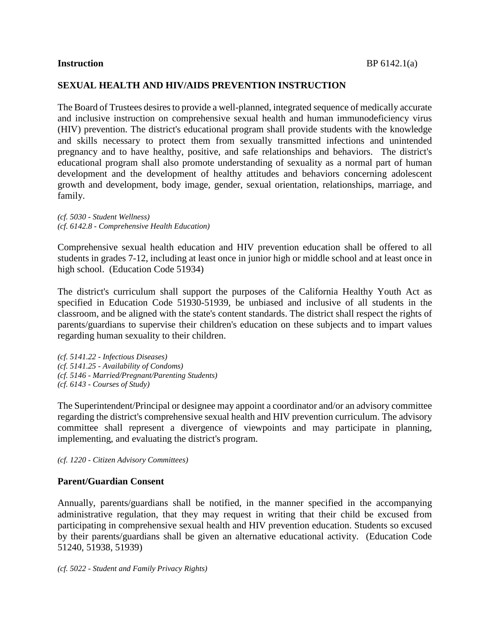### **SEXUAL HEALTH AND HIV/AIDS PREVENTION INSTRUCTION**

The Board of Trustees desires to provide a well-planned, integrated sequence of medically accurate and inclusive instruction on comprehensive sexual health and human immunodeficiency virus (HIV) prevention. The district's educational program shall provide students with the knowledge and skills necessary to protect them from sexually transmitted infections and unintended pregnancy and to have healthy, positive, and safe relationships and behaviors. The district's educational program shall also promote understanding of sexuality as a normal part of human development and the development of healthy attitudes and behaviors concerning adolescent growth and development, body image, gender, sexual orientation, relationships, marriage, and family.

*(cf. 5030 - Student Wellness) (cf. 6142.8 - Comprehensive Health Education)*

Comprehensive sexual health education and HIV prevention education shall be offered to all students in grades 7-12, including at least once in junior high or middle school and at least once in high school. (Education Code 51934)

The district's curriculum shall support the purposes of the California Healthy Youth Act as specified in Education Code 51930-51939, be unbiased and inclusive of all students in the classroom, and be aligned with the state's content standards. The district shall respect the rights of parents/guardians to supervise their children's education on these subjects and to impart values regarding human sexuality to their children.

*(cf. 5141.22 - Infectious Diseases) (cf. 5141.25 - Availability of Condoms) (cf. 5146 - Married/Pregnant/Parenting Students) (cf. 6143 - Courses of Study)*

The Superintendent/Principal or designee may appoint a coordinator and/or an advisory committee regarding the district's comprehensive sexual health and HIV prevention curriculum. The advisory committee shall represent a divergence of viewpoints and may participate in planning, implementing, and evaluating the district's program.

*(cf. 1220 - Citizen Advisory Committees)*

#### **Parent/Guardian Consent**

Annually, parents/guardians shall be notified, in the manner specified in the accompanying administrative regulation, that they may request in writing that their child be excused from participating in comprehensive sexual health and HIV prevention education. Students so excused by their parents/guardians shall be given an alternative educational activity. (Education Code 51240, 51938, 51939)

*(cf. 5022 - Student and Family Privacy Rights)*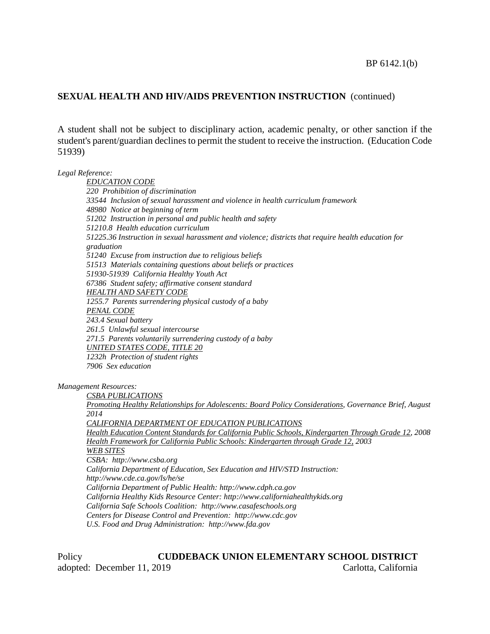A student shall not be subject to disciplinary action, academic penalty, or other sanction if the student's parent/guardian declines to permit the student to receive the instruction. (Education Code 51939)

*Legal Reference:*

*EDUCATION CODE 220 Prohibition of discrimination 33544 Inclusion of sexual harassment and violence in health curriculum framework 48980 Notice at beginning of term 51202 Instruction in personal and public health and safety 51210.8 Health education curriculum 51225.36 Instruction in sexual harassment and violence; districts that require health education for graduation 51240 Excuse from instruction due to religious beliefs 51513 Materials containing questions about beliefs or practices 51930-51939 California Healthy Youth Act 67386 Student safety; affirmative consent standard HEALTH AND SAFETY CODE 1255.7 Parents surrendering physical custody of a baby PENAL CODE 243.4 Sexual battery 261.5 Unlawful sexual intercourse 271.5 Parents voluntarily surrendering custody of a baby UNITED STATES CODE, TITLE 20 1232h Protection of student rights 7906 Sex education*

*Management Resources:*

*CSBA PUBLICATIONS Promoting Healthy Relationships for Adolescents: Board Policy Considerations, Governance Brief, August 2014 CALIFORNIA DEPARTMENT OF EDUCATION PUBLICATIONS Health Education Content Standards for California Public Schools, Kindergarten Through Grade 12, 2008 Health Framework for California Public Schools: Kindergarten through Grade 12, 2003 WEB SITES CSBA: http://www.csba.org California Department of Education, Sex Education and HIV/STD Instruction: http://www.cde.ca.gov/ls/he/se California Department of Public Health: http://www.cdph.ca.gov California Healthy Kids Resource Center: http://www.californiahealthykids.org California Safe Schools Coalition: http://www.casafeschools.org Centers for Disease Control and Prevention: http://www.cdc.gov*

*U.S. Food and Drug Administration: http://www.fda.gov*

# Policy **CUDDEBACK UNION ELEMENTARY SCHOOL DISTRICT** adopted: December 11, 2019 Carlotta, California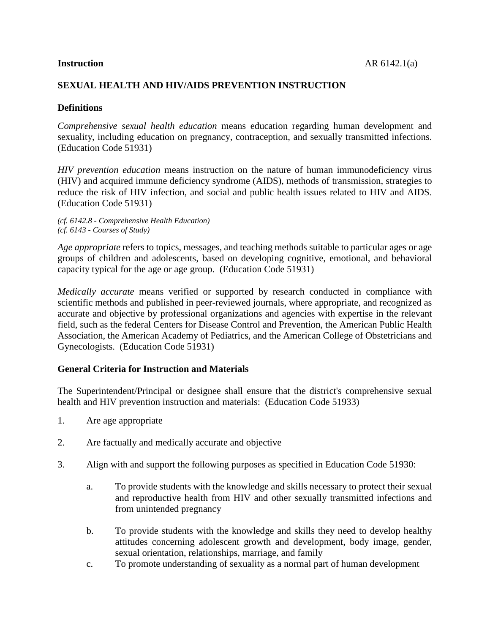# **SEXUAL HEALTH AND HIV/AIDS PREVENTION INSTRUCTION**

#### **Definitions**

*Comprehensive sexual health education* means education regarding human development and sexuality, including education on pregnancy, contraception, and sexually transmitted infections. (Education Code 51931)

*HIV prevention education* means instruction on the nature of human immunodeficiency virus (HIV) and acquired immune deficiency syndrome (AIDS), methods of transmission, strategies to reduce the risk of HIV infection, and social and public health issues related to HIV and AIDS. (Education Code 51931)

*(cf. 6142.8 - Comprehensive Health Education) (cf. 6143 - Courses of Study)*

*Age appropriate* refers to topics, messages, and teaching methods suitable to particular ages or age groups of children and adolescents, based on developing cognitive, emotional, and behavioral capacity typical for the age or age group. (Education Code 51931)

*Medically accurate* means verified or supported by research conducted in compliance with scientific methods and published in peer-reviewed journals, where appropriate, and recognized as accurate and objective by professional organizations and agencies with expertise in the relevant field, such as the federal Centers for Disease Control and Prevention, the American Public Health Association, the American Academy of Pediatrics, and the American College of Obstetricians and Gynecologists. (Education Code 51931)

#### **General Criteria for Instruction and Materials**

The Superintendent/Principal or designee shall ensure that the district's comprehensive sexual health and HIV prevention instruction and materials: (Education Code 51933)

- 1. Are age appropriate
- 2. Are factually and medically accurate and objective
- 3. Align with and support the following purposes as specified in Education Code 51930:
	- a. To provide students with the knowledge and skills necessary to protect their sexual and reproductive health from HIV and other sexually transmitted infections and from unintended pregnancy
	- b. To provide students with the knowledge and skills they need to develop healthy attitudes concerning adolescent growth and development, body image, gender, sexual orientation, relationships, marriage, and family
	- c. To promote understanding of sexuality as a normal part of human development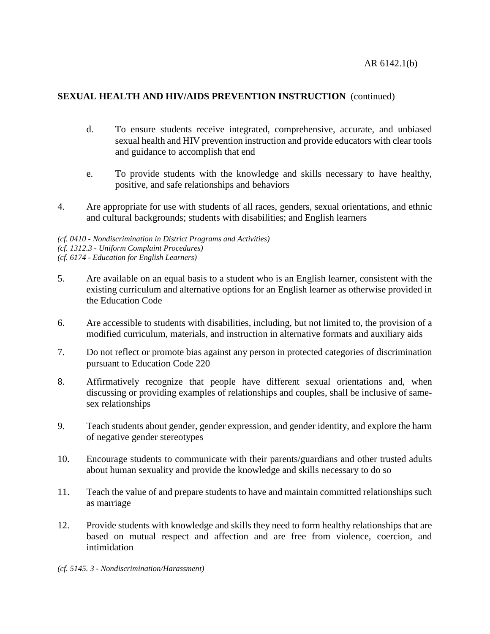- d. To ensure students receive integrated, comprehensive, accurate, and unbiased sexual health and HIV prevention instruction and provide educators with clear tools and guidance to accomplish that end
- e. To provide students with the knowledge and skills necessary to have healthy, positive, and safe relationships and behaviors
- 4. Are appropriate for use with students of all races, genders, sexual orientations, and ethnic and cultural backgrounds; students with disabilities; and English learners

*(cf. 0410 - Nondiscrimination in District Programs and Activities) (cf. 1312.3 - Uniform Complaint Procedures) (cf. 6174 - Education for English Learners)*

- 5. Are available on an equal basis to a student who is an English learner, consistent with the existing curriculum and alternative options for an English learner as otherwise provided in the Education Code
- 6. Are accessible to students with disabilities, including, but not limited to, the provision of a modified curriculum, materials, and instruction in alternative formats and auxiliary aids
- 7. Do not reflect or promote bias against any person in protected categories of discrimination pursuant to Education Code 220
- 8. Affirmatively recognize that people have different sexual orientations and, when discussing or providing examples of relationships and couples, shall be inclusive of samesex relationships
- 9. Teach students about gender, gender expression, and gender identity, and explore the harm of negative gender stereotypes
- 10. Encourage students to communicate with their parents/guardians and other trusted adults about human sexuality and provide the knowledge and skills necessary to do so
- 11. Teach the value of and prepare students to have and maintain committed relationships such as marriage
- 12. Provide students with knowledge and skills they need to form healthy relationships that are based on mutual respect and affection and are free from violence, coercion, and intimidation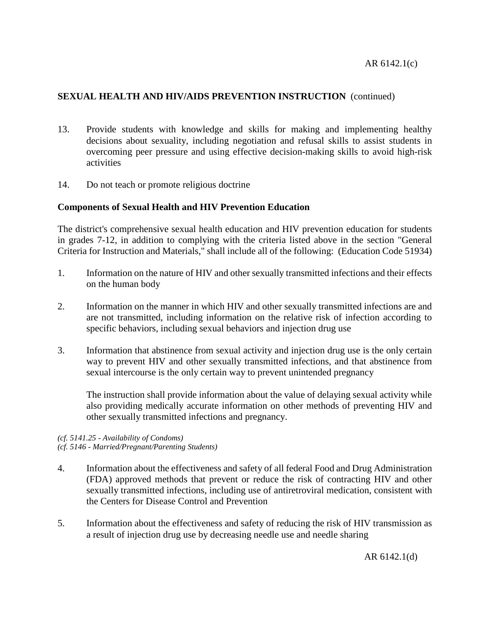- 13. Provide students with knowledge and skills for making and implementing healthy decisions about sexuality, including negotiation and refusal skills to assist students in overcoming peer pressure and using effective decision-making skills to avoid high-risk activities
- 14. Do not teach or promote religious doctrine

#### **Components of Sexual Health and HIV Prevention Education**

The district's comprehensive sexual health education and HIV prevention education for students in grades 7-12, in addition to complying with the criteria listed above in the section "General Criteria for Instruction and Materials," shall include all of the following: (Education Code 51934)

- 1. Information on the nature of HIV and other sexually transmitted infections and their effects on the human body
- 2. Information on the manner in which HIV and other sexually transmitted infections are and are not transmitted, including information on the relative risk of infection according to specific behaviors, including sexual behaviors and injection drug use
- 3. Information that abstinence from sexual activity and injection drug use is the only certain way to prevent HIV and other sexually transmitted infections, and that abstinence from sexual intercourse is the only certain way to prevent unintended pregnancy

The instruction shall provide information about the value of delaying sexual activity while also providing medically accurate information on other methods of preventing HIV and other sexually transmitted infections and pregnancy.

#### *(cf. 5141.25 - Availability of Condoms) (cf. 5146 - Married/Pregnant/Parenting Students)*

- 4. Information about the effectiveness and safety of all federal Food and Drug Administration (FDA) approved methods that prevent or reduce the risk of contracting HIV and other sexually transmitted infections, including use of antiretroviral medication, consistent with the Centers for Disease Control and Prevention
- 5. Information about the effectiveness and safety of reducing the risk of HIV transmission as a result of injection drug use by decreasing needle use and needle sharing

AR 6142.1(d)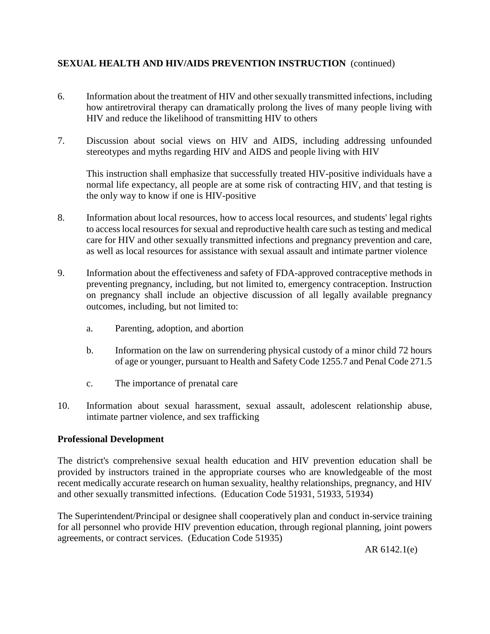- 6. Information about the treatment of HIV and other sexually transmitted infections, including how antiretroviral therapy can dramatically prolong the lives of many people living with HIV and reduce the likelihood of transmitting HIV to others
- 7. Discussion about social views on HIV and AIDS, including addressing unfounded stereotypes and myths regarding HIV and AIDS and people living with HIV

This instruction shall emphasize that successfully treated HIV-positive individuals have a normal life expectancy, all people are at some risk of contracting HIV, and that testing is the only way to know if one is HIV-positive

- 8. Information about local resources, how to access local resources, and students' legal rights to access local resources for sexual and reproductive health care such as testing and medical care for HIV and other sexually transmitted infections and pregnancy prevention and care, as well as local resources for assistance with sexual assault and intimate partner violence
- 9. Information about the effectiveness and safety of FDA-approved contraceptive methods in preventing pregnancy, including, but not limited to, emergency contraception. Instruction on pregnancy shall include an objective discussion of all legally available pregnancy outcomes, including, but not limited to:
	- a. Parenting, adoption, and abortion
	- b. Information on the law on surrendering physical custody of a minor child 72 hours of age or younger, pursuant to Health and Safety Code 1255.7 and Penal Code 271.5
	- c. The importance of prenatal care
- 10. Information about sexual harassment, sexual assault, adolescent relationship abuse, intimate partner violence, and sex trafficking

#### **Professional Development**

The district's comprehensive sexual health education and HIV prevention education shall be provided by instructors trained in the appropriate courses who are knowledgeable of the most recent medically accurate research on human sexuality, healthy relationships, pregnancy, and HIV and other sexually transmitted infections. (Education Code 51931, 51933, 51934)

The Superintendent/Principal or designee shall cooperatively plan and conduct in-service training for all personnel who provide HIV prevention education, through regional planning, joint powers agreements, or contract services. (Education Code 51935)

AR 6142.1(e)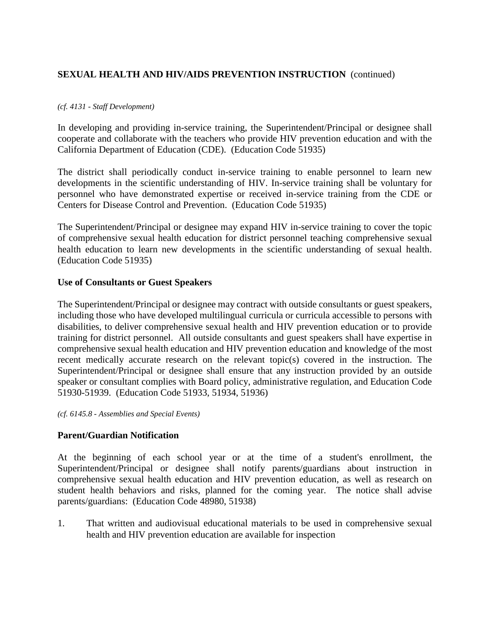#### *(cf. 4131 - Staff Development)*

In developing and providing in-service training, the Superintendent/Principal or designee shall cooperate and collaborate with the teachers who provide HIV prevention education and with the California Department of Education (CDE). (Education Code 51935)

The district shall periodically conduct in-service training to enable personnel to learn new developments in the scientific understanding of HIV. In-service training shall be voluntary for personnel who have demonstrated expertise or received in-service training from the CDE or Centers for Disease Control and Prevention. (Education Code 51935)

The Superintendent/Principal or designee may expand HIV in-service training to cover the topic of comprehensive sexual health education for district personnel teaching comprehensive sexual health education to learn new developments in the scientific understanding of sexual health. (Education Code 51935)

#### **Use of Consultants or Guest Speakers**

The Superintendent/Principal or designee may contract with outside consultants or guest speakers, including those who have developed multilingual curricula or curricula accessible to persons with disabilities, to deliver comprehensive sexual health and HIV prevention education or to provide training for district personnel. All outside consultants and guest speakers shall have expertise in comprehensive sexual health education and HIV prevention education and knowledge of the most recent medically accurate research on the relevant topic(s) covered in the instruction. The Superintendent/Principal or designee shall ensure that any instruction provided by an outside speaker or consultant complies with Board policy, administrative regulation, and Education Code 51930-51939. (Education Code 51933, 51934, 51936)

*(cf. 6145.8 - Assemblies and Special Events)*

# **Parent/Guardian Notification**

At the beginning of each school year or at the time of a student's enrollment, the Superintendent/Principal or designee shall notify parents/guardians about instruction in comprehensive sexual health education and HIV prevention education, as well as research on student health behaviors and risks, planned for the coming year. The notice shall advise parents/guardians: (Education Code 48980, 51938)

1. That written and audiovisual educational materials to be used in comprehensive sexual health and HIV prevention education are available for inspection